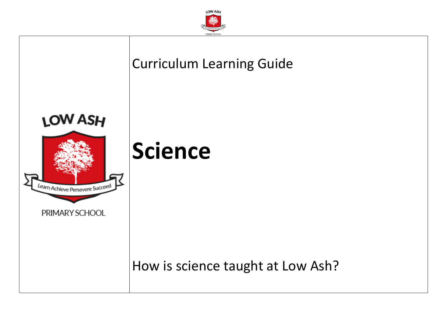

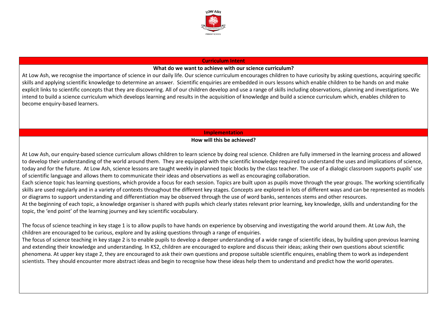

#### **Curriculum Intent**

### **What do we want to achieve with our science curriculum?**

At Low Ash, we recognise the importance of science in our daily life. Our science curriculum encourages children to have curiosity by asking questions, acquiring specific skills and applying scientific knowledge to determine an answer. Scientific enquiries are embedded in ours lessons which enable children to be hands on and make explicit links to scientific concepts that they are discovering. All of our children develop and use a range of skills including observations, planning and investigations. We intend to build a science curriculum which develops learning and results in the acquisition of knowledge and build a science curriculum which, enables children to become enquiry-based learners.

## **Implementation**

### **How will this be achieved?**

At Low Ash, our enquiry-based science curriculum allows children to learn science by doing real science. Children are fully immersed in the learning process and allowed to develop their understanding of the world around them. They are equipped with the scientific knowledge required to understand the uses and implications of science, today and for the future. At Low Ash, science lessons are taught weekly in planned topic blocks by the class teacher. The use of a dialogic classroom supports pupils' use of scientific language and allows them to communicate their ideas and observations as well as encouraging collaboration.

Each science topic has learning questions, which provide a focus for each session. Topics are built upon as pupils move through the year groups. The working scientifically skills are used regularly and in a variety of contexts throughout the different key stages. Concepts are explored in lots of different ways and can be represented as models or diagrams to support understanding and differentiation may be observed through the use of word banks, sentences stems and other resources.

At the beginning of each topic, a knowledge organiser is shared with pupils which clearly states relevant prior learning, key knowledge, skills and understanding for the topic, the 'end point' of the learning journey and key scientific vocabulary.

The focus of science teaching in key stage 1 is to allow pupils to have hands on experience by observing and investigating the world around them. At Low Ash, the children are encouraged to be curious, explore and by asking questions through a range of enquiries.

The focus of science teaching in key stage 2 is to enable pupils to develop a deeper understanding of a wide range of scientific ideas, by building upon previous learning and extending their knowledge and understanding. In KS2, children are encouraged to explore and discuss their ideas; asking their own questions about scientific phenomena. At upper key stage 2, they are encouraged to ask their own questions and propose suitable scientific enquires, enabling them to work as independent scientists. They should encounter more abstract ideas and begin to recognise how these ideas help them to understand and predict how the world operates.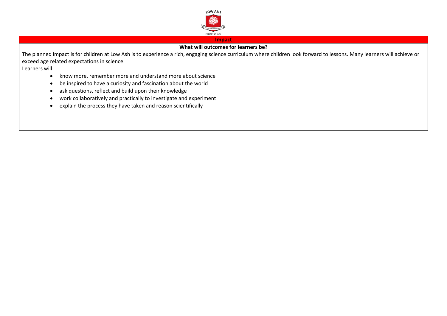

#### **Impact**

# **What will outcomes for learners be?**

The planned impact is for children at Low Ash is to experience a rich, engaging science curriculum where children look forward to lessons. Many learners will achieve or exceed age related expectations in science.

Learners will:

- know more, remember more and understand more about science
- be inspired to have a curiosity and fascination about the world
- ask questions, reflect and build upon their knowledge
- work collaboratively and practically to investigate and experiment
- explain the process they have taken and reason scientifically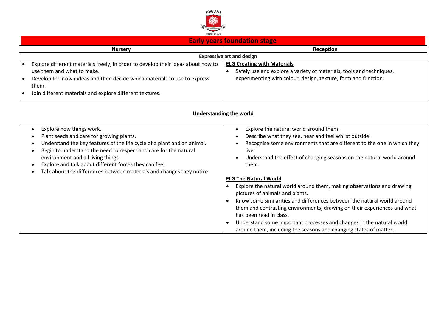

| <b>Early years foundation stage</b> |  |  |
|-------------------------------------|--|--|
|                                     |  |  |

| <b>Nursery</b>                                                                                                                                                                                                                                                                                                                                                                                                         | Reception                                                                                                                                                                                                                                                                                                                                                                                                                                                                |
|------------------------------------------------------------------------------------------------------------------------------------------------------------------------------------------------------------------------------------------------------------------------------------------------------------------------------------------------------------------------------------------------------------------------|--------------------------------------------------------------------------------------------------------------------------------------------------------------------------------------------------------------------------------------------------------------------------------------------------------------------------------------------------------------------------------------------------------------------------------------------------------------------------|
|                                                                                                                                                                                                                                                                                                                                                                                                                        | <b>Expressive art and design</b>                                                                                                                                                                                                                                                                                                                                                                                                                                         |
| Explore different materials freely, in order to develop their ideas about how to<br>use them and what to make.<br>Develop their own ideas and then decide which materials to use to express<br>them.<br>Join different materials and explore different textures.                                                                                                                                                       | <b>ELG Creating with Materials</b><br>Safely use and explore a variety of materials, tools and techniques,<br>$\bullet$<br>experimenting with colour, design, texture, form and function.                                                                                                                                                                                                                                                                                |
|                                                                                                                                                                                                                                                                                                                                                                                                                        | <b>Understanding the world</b>                                                                                                                                                                                                                                                                                                                                                                                                                                           |
| Explore how things work.<br>$\bullet$<br>Plant seeds and care for growing plants.<br>Understand the key features of the life cycle of a plant and an animal.<br>Begin to understand the need to respect and care for the natural<br>$\bullet$<br>environment and all living things.<br>Explore and talk about different forces they can feel.<br>Talk about the differences between materials and changes they notice. | Explore the natural world around them.<br>Describe what they see, hear and feel whilst outside.<br>Recognise some environments that are different to the one in which they<br>live.<br>Understand the effect of changing seasons on the natural world around<br>them.                                                                                                                                                                                                    |
|                                                                                                                                                                                                                                                                                                                                                                                                                        | <b>ELG The Natural World</b><br>Explore the natural world around them, making observations and drawing<br>pictures of animals and plants.<br>Know some similarities and differences between the natural world around<br>them and contrasting environments, drawing on their experiences and what<br>has been read in class.<br>Understand some important processes and changes in the natural world<br>around them, including the seasons and changing states of matter. |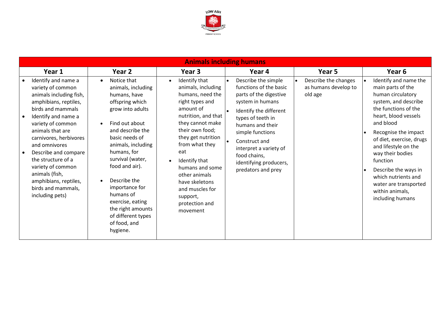

|                                                                                                                                                                                                                                                                                                                                                                                     |                                                                                                                                                                                                                                                                                                                                                                       |                                                                                                                                                                                                                                                                                                                                                                    | <b>Animals including humans</b>                                                                                                                                                                                                                                                               |                                                                      |                                                                                                                                                                                                                                                                                                                                                                                                                        |
|-------------------------------------------------------------------------------------------------------------------------------------------------------------------------------------------------------------------------------------------------------------------------------------------------------------------------------------------------------------------------------------|-----------------------------------------------------------------------------------------------------------------------------------------------------------------------------------------------------------------------------------------------------------------------------------------------------------------------------------------------------------------------|--------------------------------------------------------------------------------------------------------------------------------------------------------------------------------------------------------------------------------------------------------------------------------------------------------------------------------------------------------------------|-----------------------------------------------------------------------------------------------------------------------------------------------------------------------------------------------------------------------------------------------------------------------------------------------|----------------------------------------------------------------------|------------------------------------------------------------------------------------------------------------------------------------------------------------------------------------------------------------------------------------------------------------------------------------------------------------------------------------------------------------------------------------------------------------------------|
| Year 1                                                                                                                                                                                                                                                                                                                                                                              | Year 2                                                                                                                                                                                                                                                                                                                                                                | Year 3                                                                                                                                                                                                                                                                                                                                                             | Year 4                                                                                                                                                                                                                                                                                        | Year 5                                                               | Year 6                                                                                                                                                                                                                                                                                                                                                                                                                 |
| Identify and name a<br>variety of common<br>animals including fish,<br>amphibians, reptiles,<br>birds and mammals<br>Identify and name a<br>variety of common<br>animals that are<br>carnivores, herbivores<br>and omnivores<br>Describe and compare<br>the structure of a<br>variety of common<br>animals (fish,<br>amphibians, reptiles,<br>birds and mammals,<br>including pets) | Notice that<br>animals, including<br>humans, have<br>offspring which<br>grow into adults<br>Find out about<br>and describe the<br>basic needs of<br>animals, including<br>humans, for<br>survival (water,<br>food and air).<br>Describe the<br>importance for<br>humans of<br>exercise, eating<br>the right amounts<br>of different types<br>of food, and<br>hygiene. | Identify that<br>$\bullet$<br>animals, including<br>humans, need the<br>right types and<br>amount of<br>nutrition, and that<br>they cannot make<br>their own food;<br>they get nutrition<br>from what they<br>eat<br>Identify that<br>$\bullet$<br>humans and some<br>other animals<br>have skeletons<br>and muscles for<br>support,<br>protection and<br>movement | Describe the simple<br>functions of the basic<br>parts of the digestive<br>system in humans<br>Identify the different<br>types of teeth in<br>humans and their<br>simple functions<br>Construct and<br>interpret a variety of<br>food chains,<br>identifying producers,<br>predators and prey | Describe the changes<br>$\bullet$<br>as humans develop to<br>old age | Identify and name the<br>$\bullet$<br>main parts of the<br>human circulatory<br>system, and describe<br>the functions of the<br>heart, blood vessels<br>and blood<br>Recognise the impact<br>$\bullet$<br>of diet, exercise, drugs<br>and lifestyle on the<br>way their bodies<br>function<br>Describe the ways in<br>$\bullet$<br>which nutrients and<br>water are transported<br>within animals,<br>including humans |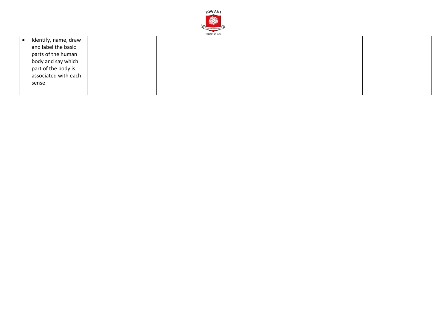

| Identify, name, draw |  |  |  |
|----------------------|--|--|--|
| and label the basic  |  |  |  |
| parts of the human   |  |  |  |
| body and say which   |  |  |  |
| part of the body is  |  |  |  |
| associated with each |  |  |  |
| sense                |  |  |  |
|                      |  |  |  |
|                      |  |  |  |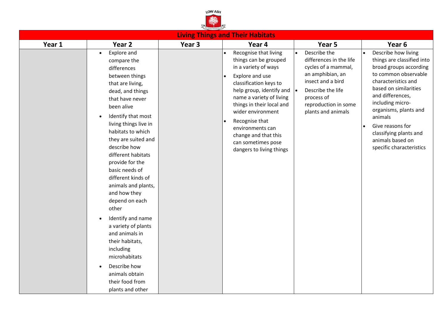

|        |                                                                                                                                                                                                                                                                                                                                                                                                                                                                                                                                                                                                                                                |        | <b>Living Things and Their Habitats</b>                                                                                                                                                                                                                                                                                                       |                                                                                                                                                                                                                |                                                                                                                                                                                                                                                                                                                                            |
|--------|------------------------------------------------------------------------------------------------------------------------------------------------------------------------------------------------------------------------------------------------------------------------------------------------------------------------------------------------------------------------------------------------------------------------------------------------------------------------------------------------------------------------------------------------------------------------------------------------------------------------------------------------|--------|-----------------------------------------------------------------------------------------------------------------------------------------------------------------------------------------------------------------------------------------------------------------------------------------------------------------------------------------------|----------------------------------------------------------------------------------------------------------------------------------------------------------------------------------------------------------------|--------------------------------------------------------------------------------------------------------------------------------------------------------------------------------------------------------------------------------------------------------------------------------------------------------------------------------------------|
| Year 1 | Year <sub>2</sub>                                                                                                                                                                                                                                                                                                                                                                                                                                                                                                                                                                                                                              | Year 3 | Year 4                                                                                                                                                                                                                                                                                                                                        | Year 5                                                                                                                                                                                                         | Year <sub>6</sub>                                                                                                                                                                                                                                                                                                                          |
|        | Explore and<br>$\bullet$<br>compare the<br>differences<br>between things<br>that are living,<br>dead, and things<br>that have never<br>been alive<br>Identify that most<br>$\bullet$<br>living things live in<br>habitats to which<br>they are suited and<br>describe how<br>different habitats<br>provide for the<br>basic needs of<br>different kinds of<br>animals and plants,<br>and how they<br>depend on each<br>other<br>Identify and name<br>$\bullet$<br>a variety of plants<br>and animals in<br>their habitats,<br>including<br>microhabitats<br>Describe how<br>$\bullet$<br>animals obtain<br>their food from<br>plants and other |        | Recognise that living<br>things can be grouped<br>in a variety of ways<br>Explore and use<br>classification keys to<br>help group, identify and<br>name a variety of living<br>things in their local and<br>wider environment<br>Recognise that<br>environments can<br>change and that this<br>can sometimes pose<br>dangers to living things | Describe the<br>$\bullet$<br>differences in the life<br>cycles of a mammal,<br>an amphibian, an<br>insect and a bird<br>Describe the life<br>l e i<br>process of<br>reproduction in some<br>plants and animals | Describe how living<br>$\bullet$<br>things are classified into<br>broad groups according<br>to common observable<br>characteristics and<br>based on similarities<br>and differences,<br>including micro-<br>organisms, plants and<br>animals<br>Give reasons for<br>classifying plants and<br>animals based on<br>specific characteristics |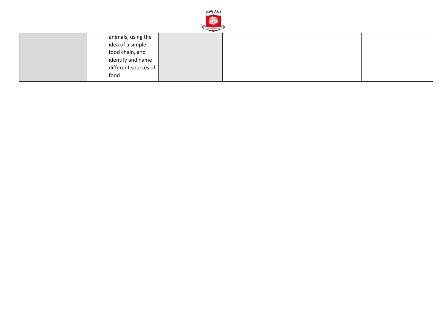

| animals, using the           |  |  |
|------------------------------|--|--|
| idea of a simple             |  |  |
| food chain, and              |  |  |
| identify and name            |  |  |
| different sources of $\vert$ |  |  |
| food                         |  |  |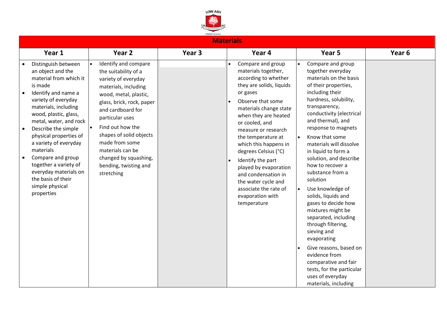

|  | <b>Materials</b> |  |
|--|------------------|--|
|  |                  |  |
|  |                  |  |
|  |                  |  |
|  |                  |  |

| Year 1                                                                                                                                                                                                                                                                                                                                                                                                                      | Year <sub>2</sub>                                                                                                                                                                                                                                                                                                                              | Year 3 | Year 4                                                                                                                                                                                                                                                                                                                                                                                                                                                  | Year 5                                                                                                                                                                                                                                                                                                                                                                                                                                                                                                                                                                                                                                                                                                                                | Year <sub>6</sub> |
|-----------------------------------------------------------------------------------------------------------------------------------------------------------------------------------------------------------------------------------------------------------------------------------------------------------------------------------------------------------------------------------------------------------------------------|------------------------------------------------------------------------------------------------------------------------------------------------------------------------------------------------------------------------------------------------------------------------------------------------------------------------------------------------|--------|---------------------------------------------------------------------------------------------------------------------------------------------------------------------------------------------------------------------------------------------------------------------------------------------------------------------------------------------------------------------------------------------------------------------------------------------------------|---------------------------------------------------------------------------------------------------------------------------------------------------------------------------------------------------------------------------------------------------------------------------------------------------------------------------------------------------------------------------------------------------------------------------------------------------------------------------------------------------------------------------------------------------------------------------------------------------------------------------------------------------------------------------------------------------------------------------------------|-------------------|
| Distinguish between<br>an object and the<br>material from which it<br>is made<br>Identify and name a<br>variety of everyday<br>materials, including<br>wood, plastic, glass,<br>metal, water, and rock<br>Describe the simple<br>physical properties of<br>a variety of everyday<br>materials<br>Compare and group<br>together a variety of<br>everyday materials on<br>the basis of their<br>simple physical<br>properties | Identify and compare<br>the suitability of a<br>variety of everyday<br>materials, including<br>wood, metal, plastic,<br>glass, brick, rock, paper<br>and cardboard for<br>particular uses<br>Find out how the<br>shapes of solid objects<br>made from some<br>materials can be<br>changed by squashing,<br>bending, twisting and<br>stretching |        | Compare and group<br>materials together,<br>according to whether<br>they are solids, liquids<br>or gases<br>Observe that some<br>materials change state<br>when they are heated<br>or cooled, and<br>measure or research<br>the temperature at<br>which this happens in<br>degrees Celsius (°C)<br>Identify the part<br>played by evaporation<br>and condensation in<br>the water cycle and<br>associate the rate of<br>evaporation with<br>temperature | Compare and group<br>$\bullet$<br>together everyday<br>materials on the basis<br>of their properties,<br>including their<br>hardness, solubility,<br>transparency,<br>conductivity (electrical<br>and thermal), and<br>response to magnets<br>Know that some<br>$\bullet$<br>materials will dissolve<br>in liquid to form a<br>solution, and describe<br>how to recover a<br>substance from a<br>solution<br>Use knowledge of<br>$\bullet$<br>solids, liquids and<br>gases to decide how<br>mixtures might be<br>separated, including<br>through filtering,<br>sieving and<br>evaporating<br>Give reasons, based on<br>evidence from<br>comparative and fair<br>tests, for the particular<br>uses of everyday<br>materials, including |                   |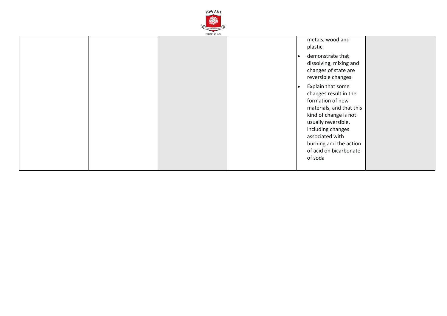

|  | PRIMARY SCHOOL |                                                                                                                                                                                                                                                     |  |
|--|----------------|-----------------------------------------------------------------------------------------------------------------------------------------------------------------------------------------------------------------------------------------------------|--|
|  |                | metals, wood and<br>plastic                                                                                                                                                                                                                         |  |
|  |                | demonstrate that<br>$\bullet$<br>dissolving, mixing and<br>changes of state are<br>reversible changes                                                                                                                                               |  |
|  |                | Explain that some<br>$\bullet$<br>changes result in the<br>formation of new<br>materials, and that this<br>kind of change is not<br>usually reversible,<br>including changes<br>associated with<br>burning and the action<br>of acid on bicarbonate |  |
|  |                | of soda                                                                                                                                                                                                                                             |  |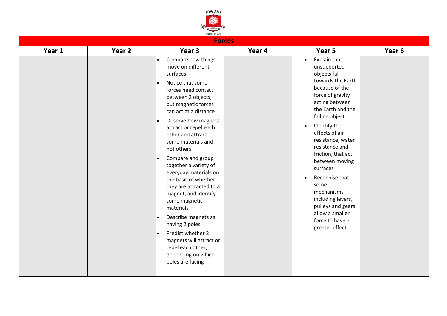

|        |        | <b>Forces</b>                                                                                                                                                                                                                                                                                                                                                                                                                                                                                                                                                                                                                                                             |        |                                                                                                                                                                                                                                                                                                                                                                                                                                                                  |        |
|--------|--------|---------------------------------------------------------------------------------------------------------------------------------------------------------------------------------------------------------------------------------------------------------------------------------------------------------------------------------------------------------------------------------------------------------------------------------------------------------------------------------------------------------------------------------------------------------------------------------------------------------------------------------------------------------------------------|--------|------------------------------------------------------------------------------------------------------------------------------------------------------------------------------------------------------------------------------------------------------------------------------------------------------------------------------------------------------------------------------------------------------------------------------------------------------------------|--------|
| Year 1 | Year 2 | Year 3                                                                                                                                                                                                                                                                                                                                                                                                                                                                                                                                                                                                                                                                    | Year 4 | Year 5                                                                                                                                                                                                                                                                                                                                                                                                                                                           | Year 6 |
|        |        | Compare how things<br>move on different<br>surfaces<br>Notice that some<br>$\bullet$<br>forces need contact<br>between 2 objects,<br>but magnetic forces<br>can act at a distance<br>Observe how magnets<br>$\bullet$<br>attract or repel each<br>other and attract<br>some materials and<br>not others<br>Compare and group<br>$\bullet$<br>together a variety of<br>everyday materials on<br>the basis of whether<br>they are attracted to a<br>magnet, and identify<br>some magnetic<br>materials<br>Describe magnets as<br>$\bullet$<br>having 2 poles<br>Predict whether 2<br>magnets will attract or<br>repel each other,<br>depending on which<br>poles are facing |        | Explain that<br>$\bullet$<br>unsupported<br>objects fall<br>towards the Earth<br>because of the<br>force of gravity<br>acting between<br>the Earth and the<br>falling object<br>Identify the<br>$\bullet$<br>effects of air<br>resistance, water<br>resistance and<br>friction, that act<br>between moving<br>surfaces<br>Recognise that<br>some<br>mechanisms<br>including levers,<br>pulleys and gears<br>allow a smaller<br>force to have a<br>greater effect |        |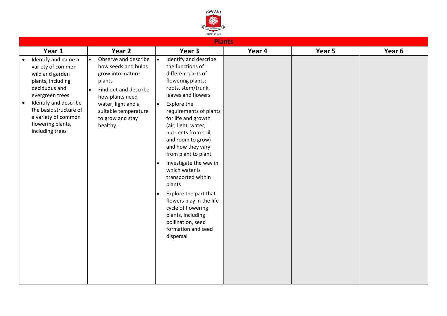

| Year 2<br>Year 3<br>Year 5<br>Year 6<br>Year 1<br>Year 4<br>Observe and describe<br>Identify and describe<br>Identify and name a<br>$\bullet$<br>the functions of<br>how seeds and bulbs<br>variety of common<br>different parts of<br>grow into mature<br>wild and garden<br>flowering plants:<br>plants, including<br>plants<br>roots, stem/trunk,<br>deciduous and<br>Find out and describe<br>leaves and flowers<br>evergreen trees<br>how plants need<br>Identify and describe<br>water, light and a<br>Explore the<br>$\bullet$<br>the basic structure of<br>suitable temperature<br>requirements of plants<br>a variety of common<br>to grow and stay<br>for life and growth<br>flowering plants,<br>healthy<br>(air, light, water,<br>including trees<br>nutrients from soil,<br>and room to grow)<br>and how they vary<br>from plant to plant<br>Investigate the way in<br>$\bullet$<br>which water is<br>transported within<br>plants |  |  |  |
|-------------------------------------------------------------------------------------------------------------------------------------------------------------------------------------------------------------------------------------------------------------------------------------------------------------------------------------------------------------------------------------------------------------------------------------------------------------------------------------------------------------------------------------------------------------------------------------------------------------------------------------------------------------------------------------------------------------------------------------------------------------------------------------------------------------------------------------------------------------------------------------------------------------------------------------------------|--|--|--|
|                                                                                                                                                                                                                                                                                                                                                                                                                                                                                                                                                                                                                                                                                                                                                                                                                                                                                                                                                 |  |  |  |
| Explore the part that<br>flowers play in the life<br>cycle of flowering<br>plants, including<br>pollination, seed<br>formation and seed<br>dispersal                                                                                                                                                                                                                                                                                                                                                                                                                                                                                                                                                                                                                                                                                                                                                                                            |  |  |  |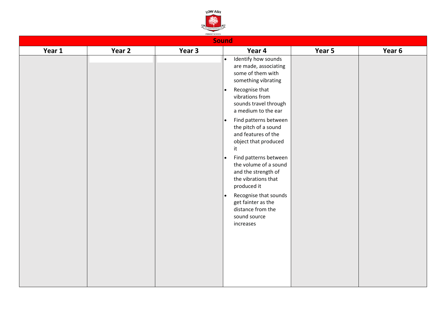

|        |        |        | <b>Sound</b>                                                                                                             |        |        |
|--------|--------|--------|--------------------------------------------------------------------------------------------------------------------------|--------|--------|
| Year 1 | Year 2 | Year 3 | Year 4                                                                                                                   | Year 5 | Year 6 |
|        |        |        | Identify how sounds<br>$\bullet$<br>are made, associating<br>some of them with<br>something vibrating                    |        |        |
|        |        |        | Recognise that<br>$\bullet$<br>vibrations from<br>sounds travel through<br>a medium to the ear                           |        |        |
|        |        |        | Find patterns between<br>l e i<br>the pitch of a sound<br>and features of the<br>object that produced<br>it              |        |        |
|        |        |        | Find patterns between<br>$\bullet$<br>the volume of a sound<br>and the strength of<br>the vibrations that<br>produced it |        |        |
|        |        |        | Recognise that sounds<br>l e i<br>get fainter as the<br>distance from the<br>sound source<br>increases                   |        |        |
|        |        |        |                                                                                                                          |        |        |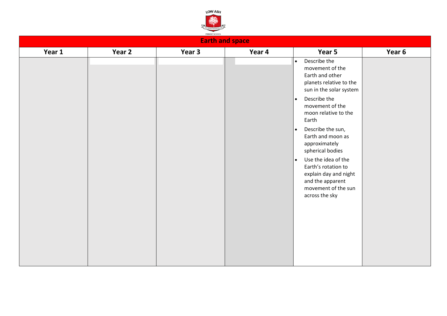

| <b>Earth and space</b> |        |        |        |                                                                                                                                                                                                                                                                                                                                                                                                                                                     |        |  |
|------------------------|--------|--------|--------|-----------------------------------------------------------------------------------------------------------------------------------------------------------------------------------------------------------------------------------------------------------------------------------------------------------------------------------------------------------------------------------------------------------------------------------------------------|--------|--|
| Year 1                 | Year 2 | Year 3 | Year 4 | Year 5                                                                                                                                                                                                                                                                                                                                                                                                                                              | Year 6 |  |
|                        |        |        |        | Describe the<br>$\bullet$<br>movement of the<br>Earth and other<br>planets relative to the<br>sun in the solar system<br>Describe the<br>$\bullet$<br>movement of the<br>moon relative to the<br>Earth<br>Describe the sun,<br>$\bullet$<br>Earth and moon as<br>approximately<br>spherical bodies<br>Use the idea of the<br>$\bullet$<br>Earth's rotation to<br>explain day and night<br>and the apparent<br>movement of the sun<br>across the sky |        |  |
|                        |        |        |        |                                                                                                                                                                                                                                                                                                                                                                                                                                                     |        |  |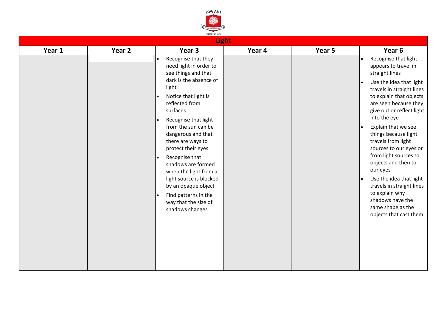

| <b>Light</b> |        |                                                                                                                                                                                                                                                                                                                                                                                                                                                                                  |        |        |                                                                                                                                                                                                                                                                                                                                                                                                                                                                                                                                                                                     |  |
|--------------|--------|----------------------------------------------------------------------------------------------------------------------------------------------------------------------------------------------------------------------------------------------------------------------------------------------------------------------------------------------------------------------------------------------------------------------------------------------------------------------------------|--------|--------|-------------------------------------------------------------------------------------------------------------------------------------------------------------------------------------------------------------------------------------------------------------------------------------------------------------------------------------------------------------------------------------------------------------------------------------------------------------------------------------------------------------------------------------------------------------------------------------|--|
| Year 1       | Year 2 | Year 3                                                                                                                                                                                                                                                                                                                                                                                                                                                                           | Year 4 | Year 5 | Year 6                                                                                                                                                                                                                                                                                                                                                                                                                                                                                                                                                                              |  |
|              |        | Recognise that they<br>$\bullet$<br>need light in order to<br>see things and that<br>dark is the absence of<br>light<br>Notice that light is<br>reflected from<br>surfaces<br>Recognise that light<br>from the sun can be<br>dangerous and that<br>there are ways to<br>protect their eyes<br>Recognise that<br>shadows are formed<br>when the light from a<br>light source is blocked<br>by an opaque object<br>Find patterns in the<br>way that the size of<br>shadows changes |        |        | Recognise that light<br>$\bullet$<br>appears to travel in<br>straight lines<br>Use the idea that light<br>$\bullet$<br>travels in straight lines<br>to explain that objects<br>are seen because they<br>give out or reflect light<br>into the eye<br>Explain that we see<br>$\bullet$<br>things because light<br>travels from light<br>sources to our eyes or<br>from light sources to<br>objects and then to<br>our eyes<br>Use the idea that light<br>$\bullet$<br>travels in straight lines<br>to explain why<br>shadows have the<br>same shape as the<br>objects that cast them |  |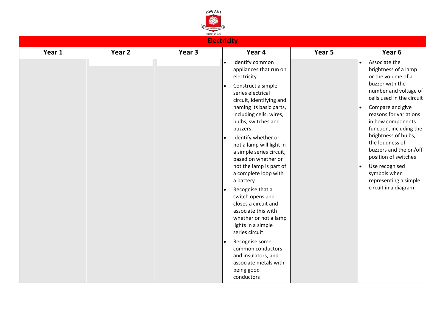

| PRIMARY SCHOOL<br><b>Electricity</b> |        |                   |                                                                                                                                                                                                                                                                                                                                                                                                                                                                                                                                                                                                                                                                                       |        |                                                                                                                                                                                                                                                                                                                                                                                                                                                           |
|--------------------------------------|--------|-------------------|---------------------------------------------------------------------------------------------------------------------------------------------------------------------------------------------------------------------------------------------------------------------------------------------------------------------------------------------------------------------------------------------------------------------------------------------------------------------------------------------------------------------------------------------------------------------------------------------------------------------------------------------------------------------------------------|--------|-----------------------------------------------------------------------------------------------------------------------------------------------------------------------------------------------------------------------------------------------------------------------------------------------------------------------------------------------------------------------------------------------------------------------------------------------------------|
| Year 1                               | Year 2 | Year <sub>3</sub> | Year 4                                                                                                                                                                                                                                                                                                                                                                                                                                                                                                                                                                                                                                                                                | Year 5 | Year 6                                                                                                                                                                                                                                                                                                                                                                                                                                                    |
|                                      |        |                   | Identify common<br>$\bullet$<br>appliances that run on<br>electricity<br>Construct a simple<br>series electrical<br>circuit, identifying and<br>naming its basic parts,<br>including cells, wires,<br>bulbs, switches and<br>buzzers<br>Identify whether or<br>not a lamp will light in<br>a simple series circuit,<br>based on whether or<br>not the lamp is part of<br>a complete loop with<br>a battery<br>Recognise that a<br>switch opens and<br>closes a circuit and<br>associate this with<br>whether or not a lamp<br>lights in a simple<br>series circuit<br>Recognise some<br>common conductors<br>and insulators, and<br>associate metals with<br>being good<br>conductors |        | Associate the<br>$\bullet$<br>brightness of a lamp<br>or the volume of a<br>buzzer with the<br>number and voltage of<br>cells used in the circuit<br>Compare and give<br>$\bullet$<br>reasons for variations<br>in how components<br>function, including the<br>brightness of bulbs,<br>the loudness of<br>buzzers and the on/off<br>position of switches<br>Use recognised<br>$\bullet$<br>symbols when<br>representing a simple<br>circuit in a diagram |